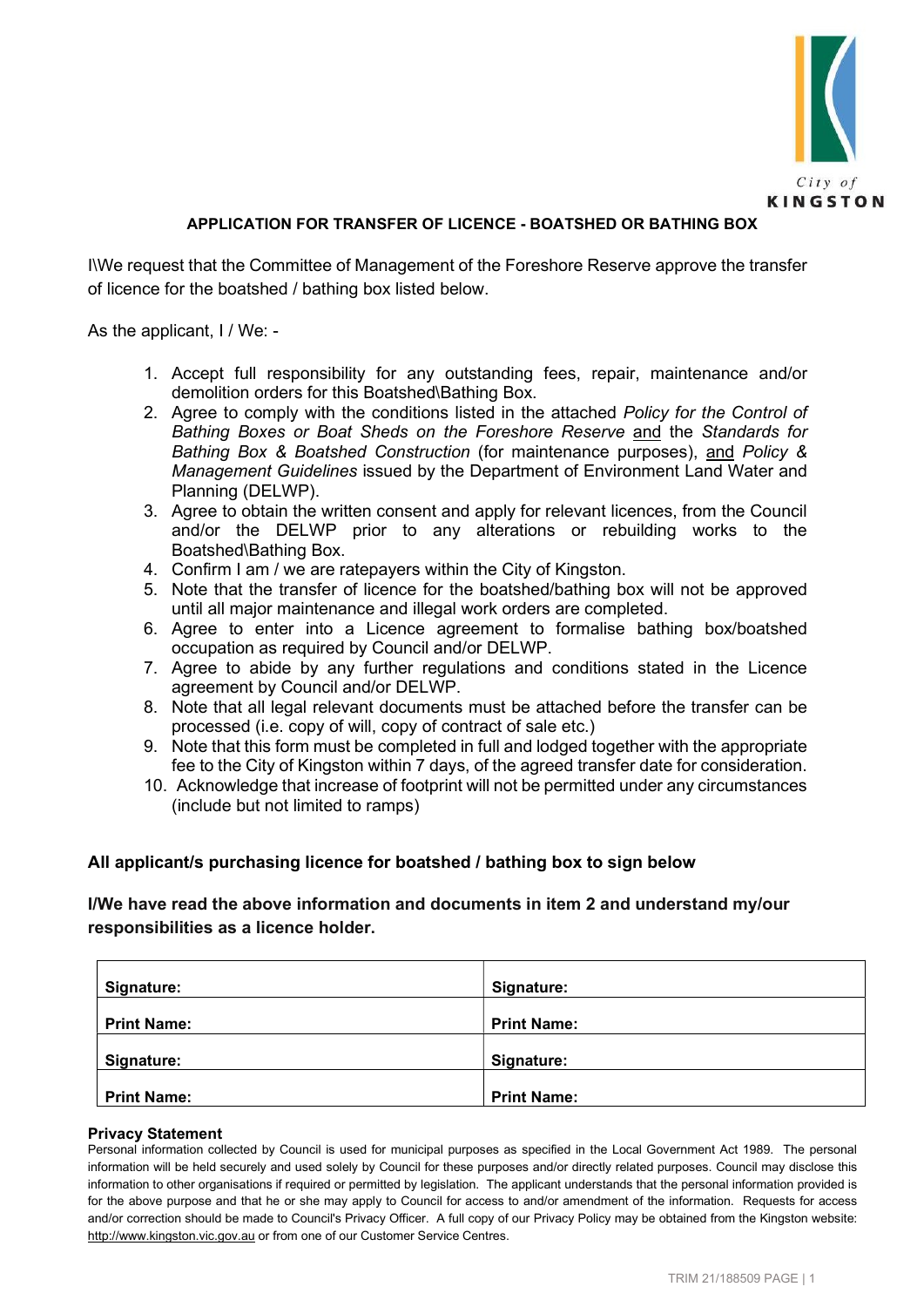

# APPLICATION FOR TRANSFER OF LICENCE - BOATSHED OR BATHING BOX

I\We request that the Committee of Management of the Foreshore Reserve approve the transfer of licence for the boatshed / bathing box listed below.

As the applicant, I / We: -

- 1. Accept full responsibility for any outstanding fees, repair, maintenance and/or demolition orders for this Boatshed\Bathing Box.
- 2. Agree to comply with the conditions listed in the attached Policy for the Control of Bathing Boxes or Boat Sheds on the Foreshore Reserve and the Standards for Bathing Box & Boatshed Construction (for maintenance purposes), and Policy & Management Guidelines issued by the Department of Environment Land Water and Planning (DELWP).
- 3. Agree to obtain the written consent and apply for relevant licences, from the Council and/or the DELWP prior to any alterations or rebuilding works to the Boatshed\Bathing Box.
- 4. Confirm I am / we are ratepayers within the City of Kingston.
- 5. Note that the transfer of licence for the boatshed/bathing box will not be approved until all major maintenance and illegal work orders are completed.
- 6. Agree to enter into a Licence agreement to formalise bathing box/boatshed occupation as required by Council and/or DELWP.
- 7. Agree to abide by any further regulations and conditions stated in the Licence agreement by Council and/or DELWP.
- 8. Note that all legal relevant documents must be attached before the transfer can be processed (i.e. copy of will, copy of contract of sale etc.)
- 9. Note that this form must be completed in full and lodged together with the appropriate fee to the City of Kingston within 7 days, of the agreed transfer date for consideration.
- 10. Acknowledge that increase of footprint will not be permitted under any circumstances (include but not limited to ramps)

#### All applicant/s purchasing licence for boatshed / bathing box to sign below

## I/We have read the above information and documents in item 2 and understand my/our responsibilities as a licence holder.

| Signature:         | Signature:         |
|--------------------|--------------------|
| <b>Print Name:</b> | <b>Print Name:</b> |
| Signature:         | Signature:         |
| <b>Print Name:</b> | <b>Print Name:</b> |

#### Privacy Statement

Personal information collected by Council is used for municipal purposes as specified in the Local Government Act 1989. The personal information will be held securely and used solely by Council for these purposes and/or directly related purposes. Council may disclose this information to other organisations if required or permitted by legislation. The applicant understands that the personal information provided is for the above purpose and that he or she may apply to Council for access to and/or amendment of the information. Requests for access and/or correction should be made to Council's Privacy Officer. A full copy of our Privacy Policy may be obtained from the Kingston website: http://www.kingston.vic.gov.au or from one of our Customer Service Centres.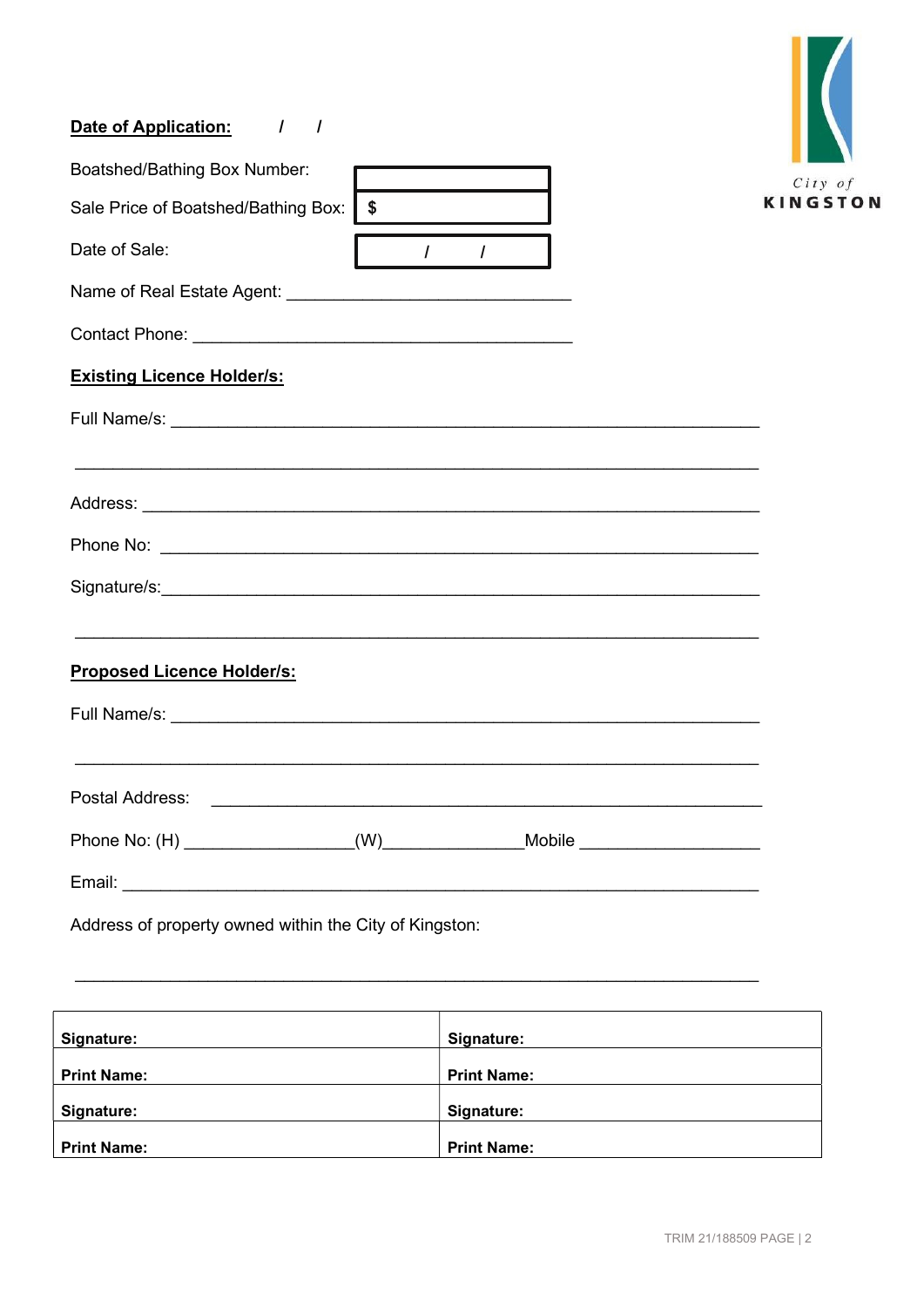# Date of Application: / /

| Boatshed/Bathing Box Number:                                                                                          |          |               |                   |
|-----------------------------------------------------------------------------------------------------------------------|----------|---------------|-------------------|
|                                                                                                                       |          |               | City of<br>KINGST |
| Sale Price of Boatshed/Bathing Box:                                                                                   | l \$     |               |                   |
| Date of Sale:                                                                                                         | $\prime$ | $\mathcal{L}$ |                   |
|                                                                                                                       |          |               |                   |
|                                                                                                                       |          |               |                   |
| <b>Existing Licence Holder/s:</b>                                                                                     |          |               |                   |
|                                                                                                                       |          |               |                   |
|                                                                                                                       |          |               |                   |
|                                                                                                                       |          |               |                   |
|                                                                                                                       |          |               |                   |
| <b>Proposed Licence Holder/s:</b>                                                                                     |          |               |                   |
|                                                                                                                       |          |               |                   |
| <u> 1990 - Johann John Stone, markin fan de Fryske kunstne fan de ferstjer fan de ferstjer fan de ferstjer fan de</u> |          |               |                   |
| Phone No: (H) _________________(W)______________Mobile _________________________                                      |          |               |                   |
|                                                                                                                       |          |               |                   |
| Address of property owned within the City of Kingston:                                                                |          |               |                   |

| Signature:         | Signature:         |
|--------------------|--------------------|
|                    |                    |
| <b>Print Name:</b> | <b>Print Name:</b> |
|                    |                    |
| Signature:         | Signature:         |
|                    |                    |
| <b>Print Name:</b> | <b>Print Name:</b> |